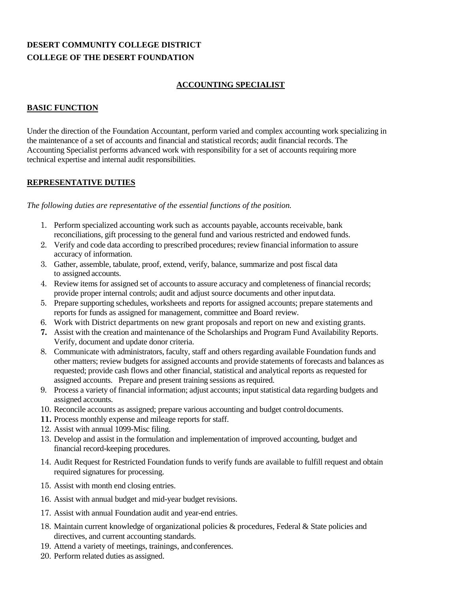# **DESERT COMMUNITY COLLEGE DISTRICT COLLEGE OF THE DESERT FOUNDATION**

#### **ACCOUNTING SPECIALIST**

#### **BASIC FUNCTION**

Under the direction of the Foundation Accountant, perform varied and complex accounting work specializing in the maintenance of a set of accounts and financial and statistical records; audit financial records. The Accounting Specialist performs advanced work with responsibility for a set of accounts requiring more technical expertise and internal audit responsibilities.

#### **REPRESENTATIVE DUTIES**

*The following duties are representative of the essential functions of the position.*

- 1. Perform specialized accounting work such as accounts payable, accounts receivable, bank reconciliations, gift processing to the general fund and various restricted and endowed funds.
- 2. Verify and code data according to prescribed procedures; review financial information to assure accuracy of information.
- 3. Gather, assemble, tabulate, proof, extend, verify, balance, summarize and post fiscal data to assigned accounts.
- 4. Review items for assigned set of accounts to assure accuracy and completeness of financial records; provide proper internal controls; audit and adjust source documents and other inputdata.
- 5. Prepare supporting schedules, worksheets and reports for assigned accounts; prepare statements and reports for funds as assigned for management, committee and Board review.
- 6. Work with District departments on new grant proposals and report on new and existing grants.
- **7.** Assist with the creation and maintenance of the Scholarships and Program Fund Availability Reports. Verify, document and update donor criteria.
- 8. Communicate with administrators, faculty, staff and others regarding available Foundation funds and other matters; review budgets for assigned accounts and provide statements of forecasts and balances as requested; provide cash flows and other financial, statistical and analytical reports as requested for assigned accounts. Prepare and present training sessions as required.
- 9. Process a variety of financial information; adjust accounts; inputstatistical data regarding budgets and assigned accounts.
- 10. Reconcile accounts as assigned; prepare various accounting and budget controldocuments.
- **11.** Process monthly expense and mileage reports for staff.
- 12. Assist with annual 1099-Misc filing.
- 13. Develop and assist in the formulation and implementation of improved accounting, budget and financial record-keeping procedures.
- 14. Audit Request for Restricted Foundation funds to verify funds are available to fulfill request and obtain required signatures for processing.
- 15. Assist with month end closing entries.
- 16. Assist with annual budget and mid-year budget revisions.
- 17. Assist with annual Foundation audit and year-end entries.
- 18. Maintain current knowledge of organizational policies & procedures, Federal & State policies and directives, and current accounting standards.
- 19. Attend a variety of meetings, trainings, andconferences.
- 20. Perform related duties as assigned.